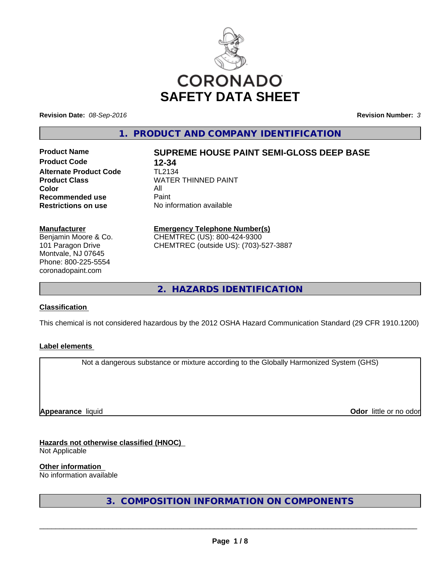

**Revision Date:** *08-Sep-2016* **Revision Number:** *3*

**1. PRODUCT AND COMPANY IDENTIFICATION**

**Product Code 12-34 Alternate Product Code** TL2134 **Color Recommended use** Paint<br> **Restrictions on use** No inf

# **Product Name SUPREME HOUSE PAINT SEMI-GLOSS DEEP BASE**

**Product Class** WATER THINNED PAINT<br>Color **No information available** 

#### **Manufacturer**

Benjamin Moore & Co. 101 Paragon Drive Montvale, NJ 07645 Phone: 800-225-5554 coronadopaint.com

### **Emergency Telephone Number(s)**

CHEMTREC (US): 800-424-9300 CHEMTREC (outside US): (703)-527-3887

**2. HAZARDS IDENTIFICATION**

#### **Classification**

This chemical is not considered hazardous by the 2012 OSHA Hazard Communication Standard (29 CFR 1910.1200)

#### **Label elements**

Not a dangerous substance or mixture according to the Globally Harmonized System (GHS)

**Appearance** liquid

**Odor** little or no odor

**Hazards not otherwise classified (HNOC)** Not Applicable

**Other information**

No information available

**3. COMPOSITION INFORMATION ON COMPONENTS**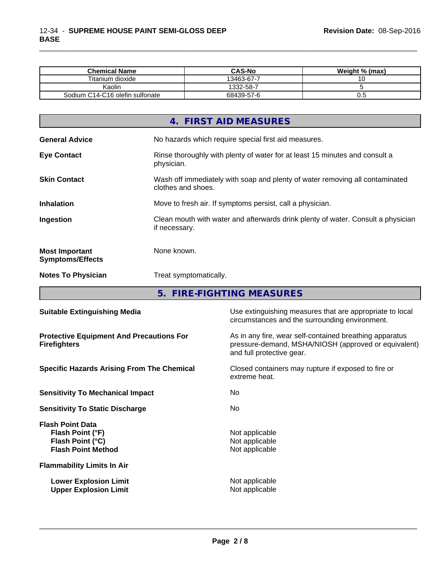| <b>Chemical Name</b>            | <b>CAS-No</b> | Weight % (max) |
|---------------------------------|---------------|----------------|
| Titanium dioxide                | 13463-67-7    |                |
| Kaolin                          | 332-58-7      |                |
| Sodium C14-C16 olefin sulfonate | 68439-57-6    | v.J            |

\_\_\_\_\_\_\_\_\_\_\_\_\_\_\_\_\_\_\_\_\_\_\_\_\_\_\_\_\_\_\_\_\_\_\_\_\_\_\_\_\_\_\_\_\_\_\_\_\_\_\_\_\_\_\_\_\_\_\_\_\_\_\_\_\_\_\_\_\_\_\_\_\_\_\_\_\_\_\_\_\_\_\_\_\_\_\_\_\_\_\_\_\_

| 4. FIRST AID MEASURES                                                                                                     |
|---------------------------------------------------------------------------------------------------------------------------|
| <b>General Advice</b><br>No hazards which require special first aid measures.                                             |
| Rinse thoroughly with plenty of water for at least 15 minutes and consult a<br><b>Eye Contact</b><br>physician.           |
| Wash off immediately with soap and plenty of water removing all contaminated<br><b>Skin Contact</b><br>clothes and shoes. |
| <b>Inhalation</b><br>Move to fresh air. If symptoms persist, call a physician.                                            |
| Clean mouth with water and afterwards drink plenty of water. Consult a physician<br>Ingestion<br>if necessary.            |
| None known.<br><b>Most Important</b><br><b>Symptoms/Effects</b>                                                           |
| <b>Notes To Physician</b><br>Treat symptomatically.                                                                       |

**5. FIRE-FIGHTING MEASURES**

| <b>Suitable Extinguishing Media</b>                                                          | Use extinguishing measures that are appropriate to local<br>circumstances and the surrounding environment.                                   |
|----------------------------------------------------------------------------------------------|----------------------------------------------------------------------------------------------------------------------------------------------|
| <b>Protective Equipment And Precautions For</b><br><b>Firefighters</b>                       | As in any fire, wear self-contained breathing apparatus<br>pressure-demand, MSHA/NIOSH (approved or equivalent)<br>and full protective gear. |
| <b>Specific Hazards Arising From The Chemical</b>                                            | Closed containers may rupture if exposed to fire or<br>extreme heat.                                                                         |
| <b>Sensitivity To Mechanical Impact</b>                                                      | No.                                                                                                                                          |
| <b>Sensitivity To Static Discharge</b>                                                       | No.                                                                                                                                          |
| <b>Flash Point Data</b><br>Flash Point (°F)<br>Flash Point (°C)<br><b>Flash Point Method</b> | Not applicable<br>Not applicable<br>Not applicable                                                                                           |
| <b>Flammability Limits In Air</b>                                                            |                                                                                                                                              |
| <b>Lower Explosion Limit</b><br><b>Upper Explosion Limit</b>                                 | Not applicable<br>Not applicable                                                                                                             |
|                                                                                              |                                                                                                                                              |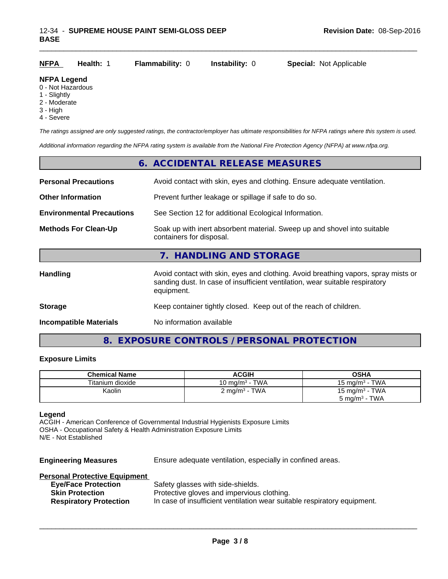| <b>NFPA</b>                             | Health: | <b>Flammability: 0</b> | <b>Instability: 0</b> | <b>Special: Not Applicable</b> |
|-----------------------------------------|---------|------------------------|-----------------------|--------------------------------|
| <b>NFPA Legend</b><br>0 - Not Hazardous |         |                        |                       |                                |

- 
- 1 Slightly
- 2 Moderate
- 3 High
- 4 Severe

*The ratings assigned are only suggested ratings, the contractor/employer has ultimate responsibilities for NFPA ratings where this system is used.*

*Additional information regarding the NFPA rating system is available from the National Fire Protection Agency (NFPA) at www.nfpa.org.*

|                                  | 6. ACCIDENTAL RELEASE MEASURES                                                                                                                                                   |  |
|----------------------------------|----------------------------------------------------------------------------------------------------------------------------------------------------------------------------------|--|
| <b>Personal Precautions</b>      | Avoid contact with skin, eyes and clothing. Ensure adequate ventilation.                                                                                                         |  |
| <b>Other Information</b>         | Prevent further leakage or spillage if safe to do so.                                                                                                                            |  |
| <b>Environmental Precautions</b> | See Section 12 for additional Ecological Information.                                                                                                                            |  |
| <b>Methods For Clean-Up</b>      | Soak up with inert absorbent material. Sweep up and shovel into suitable<br>containers for disposal.                                                                             |  |
|                                  | 7. HANDLING AND STORAGE                                                                                                                                                          |  |
| Handling                         | Avoid contact with skin, eyes and clothing. Avoid breathing vapors, spray mists or<br>sanding dust. In case of insufficient ventilation, wear suitable respiratory<br>equipment. |  |
| <b>Storage</b>                   | Keep container tightly closed. Keep out of the reach of children.                                                                                                                |  |
| <b>Incompatible Materials</b>    | No information available                                                                                                                                                         |  |

## **8. EXPOSURE CONTROLS / PERSONAL PROTECTION**

#### **Exposure Limits**

| <b>Chemical Name</b> | <b>ACGIH</b>                                 | OSHA                     |
|----------------------|----------------------------------------------|--------------------------|
| Titanium dioxide     | 10 mg/m $^3$ - TWA                           | 15 mg/m $3$ - TWA        |
| Kaolin               | - TWA<br>$\angle$ mg/m <sup>3</sup> - $\top$ | 15 mg/m $3$ - TWA        |
|                      |                                              | $5 \text{ mg/m}^3$ - TWA |

#### **Legend**

ACGIH - American Conference of Governmental Industrial Hygienists Exposure Limits OSHA - Occupational Safety & Health Administration Exposure Limits N/E - Not Established

**Engineering Measures** Ensure adequate ventilation, especially in confined areas.

| <b>Personal Protective Equipment</b> |                                                                          |
|--------------------------------------|--------------------------------------------------------------------------|
| <b>Eye/Face Protection</b>           | Safety glasses with side-shields.                                        |
| <b>Skin Protection</b>               | Protective gloves and impervious clothing.                               |
| <b>Respiratory Protection</b>        | In case of insufficient ventilation wear suitable respiratory equipment. |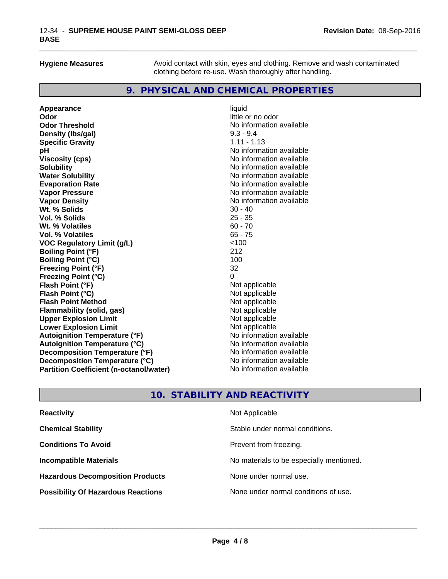**Hygiene Measures** Avoid contact with skin, eyes and clothing. Remove and wash contaminated clothing before re-use. Wash thoroughly after handling.

\_\_\_\_\_\_\_\_\_\_\_\_\_\_\_\_\_\_\_\_\_\_\_\_\_\_\_\_\_\_\_\_\_\_\_\_\_\_\_\_\_\_\_\_\_\_\_\_\_\_\_\_\_\_\_\_\_\_\_\_\_\_\_\_\_\_\_\_\_\_\_\_\_\_\_\_\_\_\_\_\_\_\_\_\_\_\_\_\_\_\_\_\_

### **9. PHYSICAL AND CHEMICAL PROPERTIES**

**Appearance** liquid **and a liquid contract of the contract of the contract of the contract of the contract of the contract of the contract of the contract of the contract of the contract of the contract of the contract of Odor Threshold** No information available **Density (Ibs/gal)** 9.3 - 9.4<br> **Specific Gravity** 1.11 - 1.13 **Specific Gravity pH** No information available **Viscosity (cps)** No information available **Solubility No information available No information available Water Solubility No information available No information available Evaporation Rate No information available No information available Vapor Pressure** No information available No information available **Vapor Density**<br> **We Solids**<br>
We Solids
20 - 40 **Wt. % Solids** 30 - 40<br> **Vol. % Solids** 25 - 35 **Vol. % Solids Wt.** % Volatiles 60 - 70 **Vol. % Volatiles** 65 - 75 **VOC Regulatory Limit (g/L)** <100 **Boiling Point (°F)** 212 **Boiling Point**  $(^{\circ}C)$  100 **Freezing Point (°F)** 32 **Freezing Point (°C)** 0 **Flash Point (°F)**<br> **Flash Point (°C)**<br> **Flash Point (°C)**<br> **C** Not applicable **Flash Point (°C)**<br> **Flash Point Method**<br> **Flash Point Method**<br> **Point Method**<br> **Point Method**<br> **Point Method**<br> **Point Method Flash Point Method**<br> **Flammability (solid, gas)**<br>
Not applicable<br>
Not applicable **Flammability** (solid, gas) **Upper Explosion Limit**<br> **Lower Explosion Limit**<br> **Lower Explosion Limit Lower Explosion Limit**<br> **Autoignition Temperature (°F)**<br> **Autoignition Temperature (°F)**<br> **Autoignition Temperature (°F) Autoignition Temperature (°F) Autoignition Temperature (°C)** No information available **Decomposition Temperature (°F)** No information available **Decomposition Temperature (°C)** No information available **Partition Coefficient (n-octanol/water)** No information available

**Odor** little or no odor

### **10. STABILITY AND REACTIVITY**

| <b>Reactivity</b>                         | Not Applicable                           |
|-------------------------------------------|------------------------------------------|
| <b>Chemical Stability</b>                 | Stable under normal conditions.          |
| <b>Conditions To Avoid</b>                | Prevent from freezing.                   |
| <b>Incompatible Materials</b>             | No materials to be especially mentioned. |
| <b>Hazardous Decomposition Products</b>   | None under normal use.                   |
| <b>Possibility Of Hazardous Reactions</b> | None under normal conditions of use.     |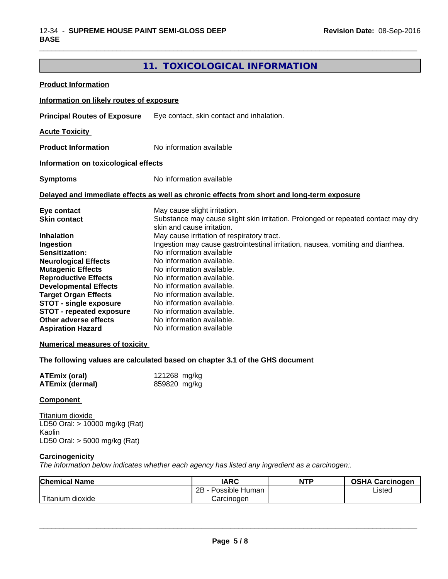## **11. TOXICOLOGICAL INFORMATION**

\_\_\_\_\_\_\_\_\_\_\_\_\_\_\_\_\_\_\_\_\_\_\_\_\_\_\_\_\_\_\_\_\_\_\_\_\_\_\_\_\_\_\_\_\_\_\_\_\_\_\_\_\_\_\_\_\_\_\_\_\_\_\_\_\_\_\_\_\_\_\_\_\_\_\_\_\_\_\_\_\_\_\_\_\_\_\_\_\_\_\_\_\_

| <b>Product Information</b>                                                                                                                                                                                                                                                                                                                                                  |                                                                                                                                                                                                                                                                                                                                                                                                                                                                                                               |
|-----------------------------------------------------------------------------------------------------------------------------------------------------------------------------------------------------------------------------------------------------------------------------------------------------------------------------------------------------------------------------|---------------------------------------------------------------------------------------------------------------------------------------------------------------------------------------------------------------------------------------------------------------------------------------------------------------------------------------------------------------------------------------------------------------------------------------------------------------------------------------------------------------|
| Information on likely routes of exposure                                                                                                                                                                                                                                                                                                                                    |                                                                                                                                                                                                                                                                                                                                                                                                                                                                                                               |
| <b>Principal Routes of Exposure</b>                                                                                                                                                                                                                                                                                                                                         | Eye contact, skin contact and inhalation.                                                                                                                                                                                                                                                                                                                                                                                                                                                                     |
| <b>Acute Toxicity</b>                                                                                                                                                                                                                                                                                                                                                       |                                                                                                                                                                                                                                                                                                                                                                                                                                                                                                               |
| <b>Product Information</b>                                                                                                                                                                                                                                                                                                                                                  | No information available                                                                                                                                                                                                                                                                                                                                                                                                                                                                                      |
| Information on toxicological effects                                                                                                                                                                                                                                                                                                                                        |                                                                                                                                                                                                                                                                                                                                                                                                                                                                                                               |
| <b>Symptoms</b>                                                                                                                                                                                                                                                                                                                                                             | No information available                                                                                                                                                                                                                                                                                                                                                                                                                                                                                      |
|                                                                                                                                                                                                                                                                                                                                                                             | Delayed and immediate effects as well as chronic effects from short and long-term exposure                                                                                                                                                                                                                                                                                                                                                                                                                    |
| Eye contact<br><b>Skin contact</b>                                                                                                                                                                                                                                                                                                                                          | May cause slight irritation.<br>Substance may cause slight skin irritation. Prolonged or repeated contact may dry<br>skin and cause irritation.                                                                                                                                                                                                                                                                                                                                                               |
| <b>Inhalation</b><br>Ingestion<br>Sensitization:<br><b>Neurological Effects</b><br><b>Mutagenic Effects</b><br><b>Reproductive Effects</b><br><b>Developmental Effects</b><br><b>Target Organ Effects</b><br><b>STOT - single exposure</b><br><b>STOT - repeated exposure</b><br>Other adverse effects<br><b>Aspiration Hazard</b><br><b>Numerical measures of toxicity</b> | May cause irritation of respiratory tract.<br>Ingestion may cause gastrointestinal irritation, nausea, vomiting and diarrhea.<br>No information available<br>No information available.<br>No information available.<br>No information available.<br>No information available.<br>No information available.<br>No information available.<br>No information available.<br>No information available.<br>No information available<br>The following values are calculated based on chapter 3.1 of the GHS document |
| <b>ATEmix (oral)</b><br><b>ATEmix (dermal)</b>                                                                                                                                                                                                                                                                                                                              | 121268 mg/kg<br>859820 mg/kg                                                                                                                                                                                                                                                                                                                                                                                                                                                                                  |
| <b>Component</b>                                                                                                                                                                                                                                                                                                                                                            |                                                                                                                                                                                                                                                                                                                                                                                                                                                                                                               |
| Titanium dioxide<br>LD50 Oral: > 10000 mg/kg (Rat)<br>Kaolin<br>LD50 Oral: > 5000 mg/kg (Rat)                                                                                                                                                                                                                                                                               |                                                                                                                                                                                                                                                                                                                                                                                                                                                                                                               |
| Carcinogenicity                                                                                                                                                                                                                                                                                                                                                             | The information below indicates whether each agency has listed any ingredient as a carcinogen:.                                                                                                                                                                                                                                                                                                                                                                                                               |

| <b>Chemical Name</b>         | <b>IARC</b>          | <b>NTP</b> | <b>OSHA Carcinogen</b> |  |
|------------------------------|----------------------|------------|------------------------|--|
|                              | 2B<br>Possible Human |            | ∟isted                 |  |
| $-1$<br>n dioxide<br>utanium | Carcinogen           |            |                        |  |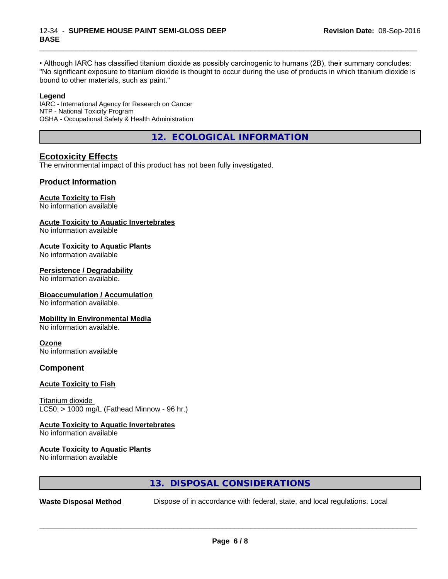• Although IARC has classified titanium dioxide as possibly carcinogenic to humans (2B), their summary concludes: "No significant exposure to titanium dioxide is thought to occur during the use of products in which titanium dioxide is bound to other materials, such as paint."

\_\_\_\_\_\_\_\_\_\_\_\_\_\_\_\_\_\_\_\_\_\_\_\_\_\_\_\_\_\_\_\_\_\_\_\_\_\_\_\_\_\_\_\_\_\_\_\_\_\_\_\_\_\_\_\_\_\_\_\_\_\_\_\_\_\_\_\_\_\_\_\_\_\_\_\_\_\_\_\_\_\_\_\_\_\_\_\_\_\_\_\_\_

#### **Legend**

IARC - International Agency for Research on Cancer NTP - National Toxicity Program OSHA - Occupational Safety & Health Administration

**12. ECOLOGICAL INFORMATION**

### **Ecotoxicity Effects**

The environmental impact of this product has not been fully investigated.

### **Product Information**

#### **Acute Toxicity to Fish**

No information available

#### **Acute Toxicity to Aquatic Invertebrates**

No information available

#### **Acute Toxicity to Aquatic Plants**

No information available

#### **Persistence / Degradability**

No information available.

#### **Bioaccumulation / Accumulation**

No information available.

#### **Mobility in Environmental Media**

No information available.

#### **Ozone**

No information available

#### **Component**

#### **Acute Toxicity to Fish**

Titanium dioxide  $LC50:$  > 1000 mg/L (Fathead Minnow - 96 hr.)

#### **Acute Toxicity to Aquatic Invertebrates**

No information available

#### **Acute Toxicity to Aquatic Plants**

No information available

#### **13. DISPOSAL CONSIDERATIONS**

**Waste Disposal Method** Dispose of in accordance with federal, state, and local regulations. Local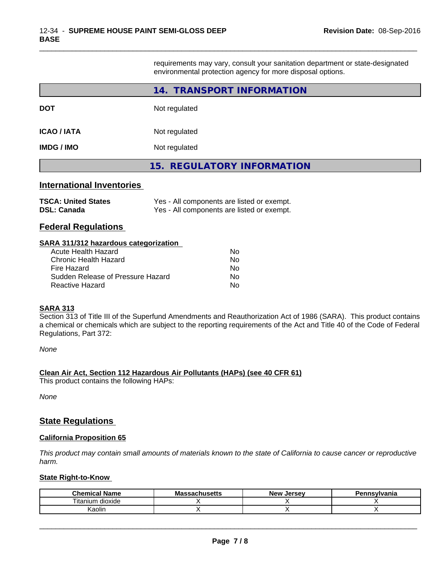requirements may vary, consult your sanitation department or state-designated environmental protection agency for more disposal options.

\_\_\_\_\_\_\_\_\_\_\_\_\_\_\_\_\_\_\_\_\_\_\_\_\_\_\_\_\_\_\_\_\_\_\_\_\_\_\_\_\_\_\_\_\_\_\_\_\_\_\_\_\_\_\_\_\_\_\_\_\_\_\_\_\_\_\_\_\_\_\_\_\_\_\_\_\_\_\_\_\_\_\_\_\_\_\_\_\_\_\_\_\_

|                                                                                                                                                                                   | 14. TRANSPORT INFORMATION                                                                |
|-----------------------------------------------------------------------------------------------------------------------------------------------------------------------------------|------------------------------------------------------------------------------------------|
| DOT                                                                                                                                                                               | Not regulated                                                                            |
| <b>ICAO / IATA</b>                                                                                                                                                                | Not regulated                                                                            |
| IMDG / IMO                                                                                                                                                                        | Not regulated                                                                            |
|                                                                                                                                                                                   | <b>15. REGULATORY INFORMATION</b>                                                        |
| <b>International Inventories</b><br><b>TSCA: United States</b><br><b>DSL: Canada</b><br><b>Federal Regulations</b>                                                                | Yes - All components are listed or exempt.<br>Yes - All components are listed or exempt. |
| SARA 311/312 hazardous categorization<br><b>Acute Health Hazard</b><br><b>Chronic Health Hazard</b><br>Fire Hazard<br>Sudden Release of Pressure Hazard<br><b>Reactive Hazard</b> | No<br>No.<br><b>No</b><br>No.<br>No.                                                     |

#### **SARA 313**

Section 313 of Title III of the Superfund Amendments and Reauthorization Act of 1986 (SARA). This product contains a chemical or chemicals which are subject to the reporting requirements of the Act and Title 40 of the Code of Federal Regulations, Part 372:

*None*

#### **Clean Air Act,Section 112 Hazardous Air Pollutants (HAPs) (see 40 CFR 61)**

This product contains the following HAPs:

*None*

#### **State Regulations**

#### **California Proposition 65**

This product may contain small amounts of materials known to the state of California to cause cancer or reproductive *harm.*

#### **State Right-to-Know**

| Chemical<br>. .<br>Name | ssachusetts<br>IVIA | <b>Jersev</b><br><b>New</b> | <b>`nsvlvania</b> |
|-------------------------|---------------------|-----------------------------|-------------------|
| , itanium<br>dioxide    |                     |                             |                   |
| .<br>Kaolin             |                     |                             |                   |